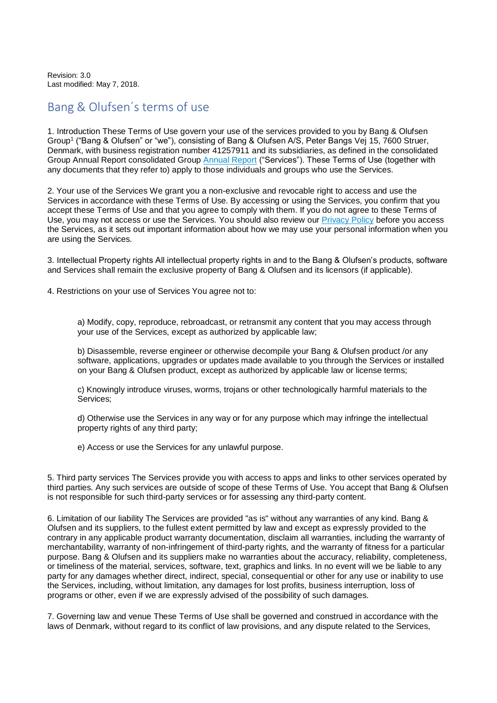Revision: 3.0 Last modified: May 7, 2018.

## Bang & Olufsen´s terms of use

1. Introduction These Terms of Use govern your use of the services provided to you by Bang & Olufsen Group<sup>1</sup> ("Bang & Olufsen" or "we"), consisting of Bang & Olufsen A/S, Peter Bangs Vej 15, 7600 Struer, Denmark, with business registration number 41257911 and its subsidiaries, as defined in the consolidated Group [Annual Report](https://www.bang-olufsen.com/en/corporate/investors/company-annoucements) consolidated Group Annual Report ("Services"). These Terms of Use (together with any documents that they refer to) apply to those individuals and groups who use the Services.

2. Your use of the Services We grant you a non-exclusive and revocable right to access and use the Services in accordance with these Terms of Use. By accessing or using the Services, you confirm that you accept these Terms of Use and that you agree to comply with them. If you do not agree to these Terms of Use, you may not access or use the Services. You should also review our [Privacy Policy](https://www.bang-olufsen.com/privacy-policy) before you access the Services, as it sets out important information about how we may use your personal information when you are using the Services.

3. Intellectual Property rights All intellectual property rights in and to the Bang & Olufsen's products, software and Services shall remain the exclusive property of Bang & Olufsen and its licensors (if applicable).

4. Restrictions on your use of Services You agree not to:

a) Modify, copy, reproduce, rebroadcast, or retransmit any content that you may access through your use of the Services, except as authorized by applicable law;

b) Disassemble, reverse engineer or otherwise decompile your Bang & Olufsen product /or any software, applications, upgrades or updates made available to you through the Services or installed on your Bang & Olufsen product, except as authorized by applicable law or license terms;

c) Knowingly introduce viruses, worms, trojans or other technologically harmful materials to the Services;

d) Otherwise use the Services in any way or for any purpose which may infringe the intellectual property rights of any third party;

e) Access or use the Services for any unlawful purpose.

5. Third party services The Services provide you with access to apps and links to other services operated by third parties. Any such services are outside of scope of these Terms of Use. You accept that Bang & Olufsen is not responsible for such third-party services or for assessing any third-party content.

6. Limitation of our liability The Services are provided "as is" without any warranties of any kind. Bang & Olufsen and its suppliers, to the fullest extent permitted by law and except as expressly provided to the contrary in any applicable product warranty documentation, disclaim all warranties, including the warranty of merchantability, warranty of non-infringement of third-party rights, and the warranty of fitness for a particular purpose. Bang & Olufsen and its suppliers make no warranties about the accuracy, reliability, completeness, or timeliness of the material, services, software, text, graphics and links. In no event will we be liable to any party for any damages whether direct, indirect, special, consequential or other for any use or inability to use the Services, including, without limitation, any damages for lost profits, business interruption, loss of programs or other, even if we are expressly advised of the possibility of such damages.

7. Governing law and venue These Terms of Use shall be governed and construed in accordance with the laws of Denmark, without regard to its conflict of law provisions, and any dispute related to the Services,